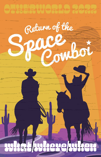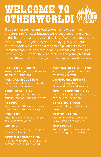# welcome to otherworld!

**Giddy up, ya cosmonaut buckaroos** - time to slam your thrusters into full gear because we've got a good time ahead! In this handy document, you'll find lists of sound stages, theme camps, and art projects, as well as a day-by-day schedule of Otherworldly events and a map to help you get around *(complete map with art & theme camp locations can be found at Centre Camp)*. **But first, here's a recap of the principles that make Otherworldian society what it is, in ten words or less:**

#### SELF-EXPRESSION

Be exactly who you are without any judgement - seriously!

# RADICAL INCLUSION

Everyone is included and invited to participate in Otherworld.

# ACCOUNTABILITY

We are responsible for our own actions, emotions, and experiences.

#### RESPECT

We treat each other with equality, tolerance, and respect, always.

#### CONSENT

Anything but an enthusiastic "yes" should be taken as "no".

# GIFTING

No money is exchanged and gifts are unconditional.

# DECOMMODIFICATION

There is no advertising, sponsorship or transactions at Otherworld.

# RADICAL SELF-RELIANCE

Take care of yourself, nobody else is responsible for you.

# COMMUNAL EFFORT

It takes a village to produce Otherworld - we work together.

# CIVIC RESPONSIBILITY

We are all citizens of this temporary society - act responsibly.

# LEAVE NO TRACE

Clean up after yourself and your peers.

#### **PARTICIPATION**

Our community is a do-ocracy. Leave camp & get involved!

#### **IMMEDIACY**

You can't plan the spontaneous moments - go with the flow.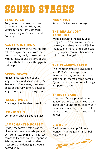# sound stages

#### BEAN JUICE

Are you full of beans? Join us at Camp Bean Juice on Friday and Saturday night from 7pm-9pm for an evening of Burlesque and Comedy!

#### DANTE'S INFURNO

The infamously wild furry strip club returns! Enjoy the view from the second storey deck, shake your tail with our new sound system, or get frisky with the furries in the gigantic cuddle pit!

#### GREEN BEATS

An evening / late night sound stage for new and seasoned DJs & Producers. Come enjoy the clean beats at this fully battery-powered stage running each evening til late.

#### ISLAND WUBS

The stage of wubs, deep bass focus.

#### IRONIC SPIN

Community space & sound stage.

# LAMPCHANTED FOREST

By day, the forest hosts a variety of entertainment, workshops, and performances. By night, the forest comes to life with sound-responsive lighting, interactive art, hidden treasures, and dancing. Schedule posted daily.

#### NEON VICE

Karaoke & Synthwave Lounge!

#### THE REALLY LOST PENGUINS

Waddle down to the Really Lost Penguins! Join our live music jams or enjoy a burlesque show, DJs, live theatre, and more - and grab a cold 'penguin pee' from our bar while you chill in our plounge!

# THE TRAMPITHEATRE

The Trampitheatre is a Live Stage and 1920s Vice Vintage Camp, featuring bands, burlesque, open stage hours, themed camp games, DJs with a twist and more. All things live performance.

#### THIRSTY BARRR!

Otherworld's only pirate-themed libation station. Located next to the Ironic Spin Sound stage, Thirsty Barr provides passers-by a place to fill their cup and relax to the sounds of our DJ.

#### VIC DRIP

Daytime sound camp, 24 hour lounge, lamp art, giant mirror ball, projections.

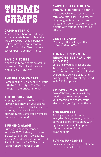# Theme **CAMPS**

# CAMP ASTERIX

Asterix offers chaos, uncertainty, and a very safe brand of fear. We are a rowdy but lovable bunch of fuckos known for our signature drink, Turbo Juice. Check out our **secret \*bar\*** & so much more.

# BASIC PITCHES

A community collaboration of fluid movement. Playful and creative, with an air of inclusivity.

# THE BIG TOP CHAPEL

Combining the Fuckery of The Circus with the Profundity of The Temple through Irreverent Ceremonies.

#### THE BUBBLY BAR

Step right up and spin the wheel! Maybe you'll show off your talents and skills, maybe we'll tell you you're amazing, maybe we'll heckle you, but who cares! Come get a Mimosa! Everyone's a winner!

# BURNING GLAM!

Burning Glam! is the genderinclusive FREE clothing, costumes, & accessories store. Play! Express yourself! Gender is a social construct & ALL clothes are for EVERY body! **Fashion show Thursday 7pm.**

# CARTIPILLAR/ FLEURO-PONG/ THUNDER BENCH

A mutant vehicle, taxi service in the form of a caterpillar. A fluorescent ping pong table with sound and lights, and a bench to sit on beneath a cloud with thunder and lighting effects.

#### CENTRE CAMP

Morning coffee, all day coffee, coffee, coffee, coffee.

# THE DEPARTMENT OF RESPONSIBLE FLAILING (D.O.R.F.)

Let us help you flail responsibly. Tether your items to yourself to avoid leaving them behind, & label everything else. Visit us for antiflailing supplies & to get registered as D.O.R.F. approved!

# EMPOWERMENT CAMP

Power24/7 for your accessibility needs. We are not First Aid or your Momma. We charge your electronics, you figure out the rest.

# THE EMPRESS

An elegant escape from the everyday. Every evening, our hosts serve selections of tea along with light snacks in our steampunk reinterpretation of a Victorian drawing room.

# FLYING PANCAKES

Pancake house with a side of aerial circus, topped with poi.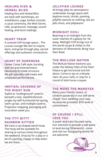#### HEALING KISS & HERBAL BLISS

Healing Kiss and Herbal Bliss are back with workshops, art installations, yoga, herbal consults, a cacao ceremony, the Wish Dome, reiki, acupressure, massage, sound healing, and tarot readings.

#### HEART TRAIN

A covered chill lounge space... The LuvLee Lounge! We aim to inspire, learn, and grow through play, sacred offerings and authentic connections.

#### HEART OF DARKNESS

Center Camp Café style, bursting with art and entertainment, fabulously lit shade structure. We gift specialty café treats and scheduled performances.

#### INKFISH: CAVERNS OF THE NIGHT SUN

Styled as "underground" caverns beneath a lost, neolithic/bronze jungle city with functional hot spring, swim-up bar, and multiple caverns. Projection mapping, plounging and luxuriation await you.

#### THE ITTY BITTY RAINBOW KITTIES

We have a cat-shaped aerial hoop. The hoop will be available for sharing at various times throughout the weekend. Drop by for a play or a bit of coaching. Happy to help when we are there.

#### JELLYFISH LOUNGE

All things Jelly! An atmospheric underwater lounge space with daytime music, drinks, painting jellyfish stencils on clothing, dot art, jello shots, and jellybeans!

#### MIDNIGHT CHILI

Beaming in at midnight from the outer reaches of a galaxy far, far away, Midnight Chili brings out of this world soups & chilies to the denizens of Otherworld. Bring Your Own Bowl.

#### THE MOLLUSK NATION

The Mollusk Nation beckons you under the billowy folds of the Pearl Palace to get horizontal and loll about. Come to sip on a bloody clam, do your nails, or stay for a round of stick horse croquet.

#### THE MORE THE MARRYER

Marry your friends, lovers, or random passersby in our self-serve chapel. Your wedding, your way. Accessories provided. BYO level of commitment.

# OF COURSE I STILL LOVE YOU

A queer and trans focused camp. Our intention is provide a safe place to land during Otherworld - come and visit our Stargayzing dome! All are welcome!

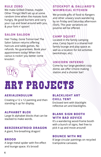#### RULE ZERO

We make Grilled Cheese, maybe Other Things! We'll set up at some random time when the masses look hungry. Be good burners and carry your cup and bowl around with you, & your fork n' spoon!

#### SALON SALOON

Hair Today, Gone Tomorrow! The Salon Saloon returns offering haircuts and table games. No refunds. No guarantees. Book your appointment today! When the cactus is rockin' you better come knockin'.

# STOCKPOT & DALLIARD'S WHIMSICAL KITCHEN

We provide gifts of food to Rangers and other unwary souls wandering by on Friday and Saturday afternoon (5ish). This year variations on poutine will be offered.

#### CAMP SQUIRT

Located in the family camping area, Camp Squirt is a shared kid/ family lounge and play space as well as a location for kid activities (workshops, etc).

#### UNICORN INFERNO

Come by our large geodesic cozy dome, we offer s'more making station and a shooter bar!

# Art Projects

# AERIALENDULUM

Creating a 12 x 12 painting and then standing it up for display.

#### ALPHABET BLOX

Large lit alphabet blocks that can be stacked to make words.

#### BERZERKATROID DRAGON

A giant, fire-breathing dragon!

#### BROOD

A large metal spider with fire effect and lounge space. It's brood!

#### BLACKLIGHT ART CHILL TENT

Enclosed tent with blacklight reflective art and blacklights.

#### BLANK SIGN BOOTH WITH BAD ADVICE

It's a wandering wood-frame booth with a bunch of signs, feel free to pick it up and move around!

#### BOUNCE WITH ME

8 large circular paintings on recycled trampoline canvases.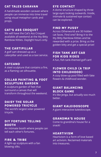# CAT TALES CARAVAN

A handmade wooden caravan where people can immerse into time travel using visual metaphor cards and props.

#### CAT'S ASS CROQUET

We will have the Cat's Ass Croquet available all weekend at the Itty Bitty Rainbow Kitties. Daylight hours only.

#### THE CARTIPILLAR

A golf cart dressed up as a caterpillar and used as a taxi service.

#### CATCANO

A steel sculpture that contains a fire, as a flaming cat silhouette.

# COLLAB PAINTING & FOOT SCULPTURE GARDEN

A sculpture garden of feet that surround a canvas that will transform throughout the weekend.

# DAISY THE SOLAR POWERED TRICYCLE

The world's largest solar-powered tricycle.

#### DIY FORTUNE TELLING BOOTH

An intimate booth where people can tell each other's fortunes.

#### FIRE & TRIBE

A light-up sculpture with a fan blowing silks.

#### EYE CONTACT

A dome structure shaped by three large eyes looking outwards. Inside, intimate & sustained eye contact can be explored.

#### FIND MY PUSSY

Across Otherworld are 30 hidden cat faces. Find one? Bring it to the Itty Bitty Rainbow Kitties and be rewarded with a prize. Bring us the golden kitty and get a special prize!

# FISH TANK ART CAR FOR KIDS RIDES

A fun, fish tank-themed golf cart!

# FLOWER CHILD (A TRIP INTO CHILDHOOD)

A cozy blow-up pool filled with fake flowers & childhood wonder.

#### GIANT BALANCING BLOCK GAME

It's like jenga, but actually soo much better.

#### GIANT KALEIDOSCOPE

A giant interactive kaleidoscope.

#### GRANDMA'S HOUSE

Come to grandma's house for a snack!

#### **HEARTIVISM**

Heartivism is a form of love based art activism. Reclaimed materials into treasures.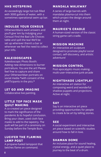#### HHS HOTSPRING

An exceedingly large hot tub filled with 3000 gallons of water, with a sometimes operational swim up bar.

# INDULGE YOUR CENSUS

Otherworldians want answers and you'll give 'em by Indulging your Census! Find the Bad Life Choices table and spill the tea! We'll be set up wherever there's a bar or whenever we feel the need to collect your info.

# KALEIDOSCAPES

Kaleidoscopic Photo Booth: Adding new dimensions to burner portraiture. You are the art! Please feel free to capture and share your Otherworldian portraits on social media \*with consent of the pARTicipants in the pics.\*

# LET GO AND IMAGINE

Collaborative live painting.

# LITTLE TOP FACE MASK QUILT MAKING

A co-created art piece designed to mark the significance of the pandemic & its hopeful conclusion. Bring your clean, used cloth face masks to add to the tapestry. The quilt will be part of a ceremony on Sunday before the Temple Burn.

#### LUCIFER THE FLAMING LAMP POST

A propane-fueled lamppost that belches flame on command.

# MANDALA WALKWAY

A series of large barrels with mandalas plasma-cut into them which project the design around them at night.

# MAURICE'S CRADLE

A human-sized version of the classic string game cat's cradle.

# MISSION MACHINE

An interactive art sculpture designed to promote playful social contact, self-discovery, and artistic adventure!

# MISSION CONTROL

Post-apocalyptic-music-makingmulti-user-interactive-junk-arcade

# NIGHTSHADE LIGHTPLAY

An interactive art station for composing weird and wonderful shadow puppets and projections. Active at night.

#### SAY

Say is an interactive art piece providing opportunities for people to create & be art by telling stories.

#### SEE

A social experiment and interactive art piece based on scientific studies around how to fall in love.

#### SHAMAN DOME

An inclusive place for sound healing, crystal energy, and a quiet place to journey to the beat of a drum.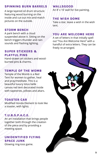# SPINNING BURN BARRELS

A large layered oil drum structure featuring wood burning on the inside and cut-out mix-and-match pictures on the outside.

#### STORM BENCH

A park bench with a cloud suspended above it. Sitting on the bench triggers thunder and rain sounds and flashing lighting.

#### SUPER STICKERS & PLAYFUL PINS

Hand-drawn art stickers and woodburned pins & charms.

#### TEMPLE OF THE WOMB

Temple of the Womb is a Red Tent for women to gather, heal and pray/meditate. This is a beautiful luxury lotus belle canvas red tent decorated inside with tapestries, pillows and altars.

#### TOASTER CAR

Modified Honda Element to look like a toaster, with lights.

# T.U.B.S.P.A.C.E.

An art installation that brings people together both through the creation of the piece and by providing a meeting space.

# UNIDENTIFIED FLYING SPACE JUNK

Glowing ring-toss game.

#### WALLSGOOD

An 8' x 16' wall for live painting.

#### THE WISH DOME

Take a star, leave a wish in the wish tent.

#### YOU ARE WELCOME HERE

A set of letters in that initially spell out "You Are Welcome Here" with a handful of extra letters. They can be freely re-arranged.

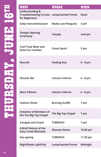| <b>WHAT</b>                                                                                 | <b>WHERE</b>                | <b>WHEN</b> |
|---------------------------------------------------------------------------------------------|-----------------------------|-------------|
| <b>Understanding &amp;</b><br>Troubleshooting Circuits Lampchanted Forest<br>for Beginners! |                             | Noon        |
| Daily Instrumental Jam                                                                      | <b>Really Lost Penguins</b> | 3 pm        |
| <b>Temple Opening</b><br>Ceremony                                                           | Temple                      | 4:44 pm     |
| <b>Cool Treat Meet and</b><br><b>Greet for Families</b>                                     | <b>Camp Squirt</b>          | 5 pm        |
| Nourish                                                                                     | <b>Healing Kiss</b>         | $6 - 9$ pm  |
| <b>Shooter Bar</b>                                                                          | Unicorn Inferno             | $6 - 8$ pm  |
| <b>More S'Mores</b>                                                                         | Unicorn Inferno             | $6 - 8$ pm  |
| <b>Fashion Show!</b>                                                                        | <b>Burning GLAM!</b>        | 7 pm        |
| <b>Initiation of Members of</b><br>the The Big Top Chapel                                   | The Big Top Chapel          | 7 pm        |
| <b>Canapés and Chats!</b>                                                                   | <b>TUBSPACE</b>             | 7 pm        |
| A Brief History of the<br><b>Fairy Creek Blockade</b>                                       | <b>Shaman Dome</b>          | 10:30 pm    |
| <b>Star gazing</b>                                                                          | <b>TUBSPACE</b>             | 11:30 pm    |
| NightShade LightPlay                                                                        | <b>Lampchanted Forest</b>   | Midnight    |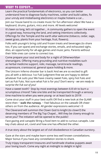Learn the practical fundamentals of electronics, so you can better understand how to diagnose faulty machines, solder and build cables, fix your unruly and misbehaving electronics or maybe hotwire a car...

**Daily Instrumental Jam Really Lost Penguins 3 pm** Join our house band to co-create music for fun afternoon vibes! We have a keyboard, drums, guitars, mics and more. All levels welcome!

It's been so long, let's sit together… A community gathers to open the event in a good way, honouring the land, and setting intentions collectively. Offerings for the Temple and the earth altar welcome (tobacco, cedar, sage, sweet grass, plants from your heritage, fruit, flowers).

Folks with youngin's bring cold and frozen treats and beverages (to share too, if you can spare) and exchange stories, emails, and exhausted sighs. Also, an opportunity for all-age games and music jams. Parents without their little ones can come to connect too.

Come prepare your soul and body for a night of Otherworldian shenanigans. Offering many grounding and nutritive modalities such as herbal medicine support, reiki, massage, tarot/oracle readings, acupressure, craniosacral, general space holding & more.

The Unicorn Inferno shooter bar is back! And we are so excited to gift you all with a delicious 1oz Fuk! Judgment-free we are happy to deliver whatever Fuk suits you! We have creamy sweet Fuks, spicy hot Fuks and tart as Fuk Fuks. Not sure what Fuk is for you? Don't worry - *we are ready to surprise the Fuk out of you!*

Have a sweet tooth? Stop by most evenings between 6-8 ish to burn a scrumptious s'more!! Take one bite and be transported through a sensory time machine to when you were young- or at least back to 2019!

Come strut your stuff in your best outfit OR find a new look at the GLAM! store then ~ **walk the runway**. ~ Feel fabulous on the catwalk OR cheer others on from the audience. All gender expressions welcome! <3

The Cleverand will summon the Clown God to knight (to clown?) the deserving members of The Big Top Chapel... Will they be clowny enough to serve you? The initiation will be opened to the public!

Face gazing and canapés! Bring a food item to add to curious canapés. Low key chats about art, covid and how one has effected the other.

**Fairy Creek Blockade Shaman Dome 10:30 pm** A true story about the largest act of civil disobedience in Canadian ourstory.

Gaze at the stars and maybe learn some less well known constellations. Major bonus if you have any constellation stories to share.

**NightShade LightPlay Lampchanted Forest Midnight** Truly trippy transparent treasures and handmade shadow puppets await your loving touch. Come any night at midnight to delight in light!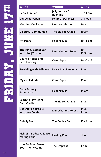| <b>WHAT</b>                                              | <b>WHERE</b>                | <b>WHEN</b>        |
|----------------------------------------------------------|-----------------------------|--------------------|
| Serial Fun Bar                                           | Jelly Lounge /<br>Roaming   | $9 - 11$ am        |
| Coffee Bar Open                                          | <b>Heart of Darkness</b>    | 9 - Noon           |
| <b>Morning Meditation</b>                                | Unicorn Inferno             | 10 am              |
| <b>Colourful Communion</b>                               | The Big Top Chapel          | 10 am              |
| Aftercare                                                | <b>Healing Kiss</b>         | $10 - 1$ pm        |
| The Funky Cereal Bar<br>with Efré   Vescent              | <b>Lampchanted Forest</b>   | $10 -$<br>11:30 am |
| <b>Bounce House and</b><br><b>Face Painting</b>          | <b>Camp Squirt</b>          | $10:30 - 12$       |
| <b>Rewilding with Self-Love</b>                          | <b>Really Lost Penguins</b> | 11am               |
| <b>Mystical Minds</b>                                    | <b>Camp Squirt</b>          | 11 am              |
| <b>Body Sensory</b><br>Experience                        | <b>Healing Kiss</b>         | 11 am              |
| Learn to Play Giant<br><b>Cat's Cradle</b>               | The Big Top Chapel          | 11 am              |
| <b>Bodysuits n' Breaks</b><br>with Jane Fonda            | <b>Lampchanted Forest</b>   | $11:30 -$<br>1 pm  |
| <b>Bubbly Bar</b>                                        | The Bubbly Bar              | 12 - 4 pm          |
| <b>Fish-of-Paradise Alliance</b><br><b>Mating Ritual</b> | <b>Healing Kiss</b>         | Noon               |
| <b>How To Solar Power</b><br><b>Your Theme Camp</b>      | The Empress                 | 1 pm               |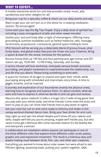A mobile interactive serial fun unit that provides cereal, music, jelly sandwiches and other delights for all!

Bring your cup for a specialty coffee & check out our daily events and sets. Want to get your zen on? Join us in the dome for a relaxing meditation session. Pls encouraged!

Come start your day the Big Top Chapel. Enjoy a daily dose of spirited fun, including a tasty smorgasbord of Jello and other sweet morsels!

Soothe your soul and body after a night of shenanigans. Offering many grounding & nutritive modalities such as herbal medicine, reiki, massage, tarot/oracle, acupressure, craniosacral, general space holding & more.

Efré|Vescent will be serving you a delectable blend of groovy house, phat funky beats, and global treatz that puts the Cheer into your Cheerios. Bring a spoon & bowl for the cereal, mimosas for the potluck.

Bounce house (kids up 100 lbs) and face painting (any age human and DIY station set up), 10:30 AM - 12 PM Friday, Saturday, and Sunday.

A tantra infused self-love workshop. Anticipate sensual breath practices, journaling, and playful movement to inspire/stimulate the relationship, sex, and life that you desire. Please bring something to write with.

A space for humans of all ages to unwind and open their minds, while journeying along with scheduled and impromptu story times. A time to giggle, breathe, and be inspired.

A journey and exploration of our boundaries (mainly the physical ones), learning how to recognize and express them. It's about consent, what we want and how to express it, what we decide to and can give and receive.

Maurice (the space cowboi)'s Cradle is a huge Cat's Cradle string game that you play with your whole body, and three friends! Come meet the artist and learn to play so you can show new friends how to play (even at night!).

Get your exercise suit on and come ready to shimmy and shake in this campy workout-themed dance class. Bring your fave drinks for arm curls.

Step right up and spin the wheel! Maybe you'll show off your talents and skills, maybe we'll tell you you're amazing, maybe we'll heckle you, but who cares! Come get a Mimosa! Win some haunted clowns! It's the Bubbly Bar and everyone's a winner!

A collaborative art installation where anyone can participate in one of the three different roles that explore three different crafts: erotic poetry, graphic arts and expressive movement. The result is a hilarious sexy and playful mating ritual between birds, fish, cats, and other epic creatures.

Everything you wanted to know about solar power but were afraid to ask.<br>Efficient lighting, assessing loads, putting your system together, Q&A.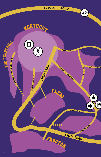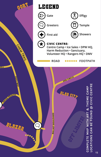

**15**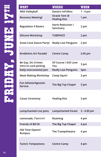| <b>WHAT</b>                                 | <b>WHERE</b>                         | <b>WHEN</b>   |
|---------------------------------------------|--------------------------------------|---------------|
| <b>NKD Volleyball</b>                       | Dante's InFURno                      | $1 - 4$ pm    |
| <b>Recovery Meeting!</b>                    | Oracle Tent @<br><b>Healing Kiss</b> | 1 pm          |
| <b>Regulation 4 Ravers</b>                  | Harm Reduction /<br>Sanctuary        | 2 pm          |
| <b>Silicone Workshop</b>                    | <b>TUBSPACE</b>                      | 2 pm          |
| <b>Snow Cone Dance Party!</b>               | <b>Really Lost Penguins</b>          | 2 pm          |
| KindleArts Art Parade!                      | <b>Centre Camp</b>                   | 2:45 pm       |
| Be Gay, Do Crimes:<br>Intro to Lock-picking | Of Course I Still Love<br>You        | 3 pm          |
| Daily Instrumental Jam                      | <b>Really Lost Penguins</b>          | 3pm           |
| <b>Mask Making Workshop</b>                 | <b>Camp Squirt</b>                   | 3 pm          |
| Fun Atheist/Agnostic<br>Service             | The Big Top Chapel                   | 3 pm          |
| <b>Cacao Ceremony</b>                       | <b>Healing Kiss</b>                  | 3 pm          |
| Lampchanted Live Jams                       | <b>Lampchanted Forest</b>            | $3 - 4:30$ pm |
| Lemonade, Y'arrrrrr!                        | Roaming                              | 4 pm          |
| Friends of Bill W.                          | The Big Top Chapel                   | 4 pm          |
| Old Time Openin'<br><b>Rumpus</b>           | The Trampitheatre                    | 4 pm          |
| <b>Tantric Temptations</b>                  | <b>Centre Camp</b>                   | 4 pm          |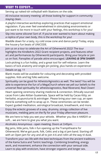Serving up naked-ish volleyball with libations on the side.

All-inclusive recovery meeting- all those looking for support in community staying clean.

A playful interactive workshop exploring practices that support emotional regulation. If you ever feel overwhelmed in stimulating environments or just want to be more in touch with your feelings, this workshop is for you!

Slip into some silicone! Sort of. If you've ever wanted to learn about making a replica of your own body, this is the workshop for you!

**Snow Cone Dance Party! Really Lost Penguins 2 pm** Waddle down for a tasty, icy cold snow cone and dance party! Today, enjoy the house-y fun beats of UNICODE.

Join us on a tour to celebrate the Art of Otherworld 2022! The tour highlights the KindleArts 2022 Grant recipient projects, and features other art and performances by Otherworld participants. Bring your bicycle or join us on foot. Panoplies of parade attire encouraged. **LEAVING @ 3PM SHARP!**

Lock-picking is a fun hobby, and a great tool for self-reliance. Learn the<br>basics of lock anatomy and single pin picking, plus hands-on experience!

**Details on pg. 11** 

Blank masks will be available for colouring and decorating with provided supplies. Kids and big folks welcome.

Spirituality can be good for Atheists/Agnostics as well. The twist? You will be able to experience the fun of a MegaChurch where we yell our beliefs to the universe! Real spirituality for atheists/agnostics, Real Reverand, Real Clown!

Heart opening ceremony sharing medicine & connection. Ethically sourced cacao from Lake Atitlan Guatemala. Space will be held by Cacao Kitty; an herbalist, acupuncturist & astrologer. Please bring your own cup, an open mind & something soft to wrap up in. These ceremonies can be tender. Expect guided meditation, astrological broadcast, breathwork, and more.

Enjoy the eclectic grooves of a saxy, drummy, stringy collection of live musicians, melding jams on the fly for your Friday afternoon pleasure.

We are here to help you wet your whistle. Whether you like it HARD!!! or soft... we are here to give you what you want.

**Friends of Bill W. The Big Top Chapel 4 pm** Alcoholics Anonymous - open meeting. Doors at 3:45pm.

Big jams, little jams, folk n fun opening up the Trampitheatre for Otherworld. We've got punk, folk, Celtic and a big ol jam band. Starting off with an Open Jam for any and all to join 4-6 and rollin all the way til dusk.

Transform your sex life with the best techniques from the ancient traditions of the Kama Sutra and Tantric teachings. Combining breathing, energy work, and movement, enhance the connection with your sensual side. Learn to play with eroticism, have stronger orgasms and longer sex.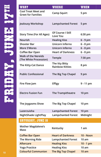| <b>WHAT</b>                                             | <b>WHERE</b>                             | <b>WHEN</b>      |
|---------------------------------------------------------|------------------------------------------|------------------|
| <b>Cool Treat Meet and</b><br><b>Greet for Families</b> | <b>Camp Squirt</b>                       | 5 pm             |
| Jealousy Workshop                                       | Lampchanted Forest 5 pm                  |                  |
| <b>Story Time (For All Ages)</b>                        | Of Course I Still<br>Love You            | 6:30 pm          |
| Nourish                                                 | <b>Healing Kiss</b>                      | $6 - 9$ pm       |
| <b>Shooter Bar</b>                                      | Unicorn Inferno                          | $6 - 8$ pm       |
| <b>More S'Mores</b>                                     | Unicorn Inferno                          | $6 - 8$ pm       |
| Coffee Bar Open                                         | <b>Heart of Darkness</b>                 | $6 - 8$ pm       |
| <b>Walk of the Nereids</b><br>(The White Procession)    | Temple                                   | 7:30 pm          |
| The Kitty-Cat Dance                                     | The Itty Bitty<br><b>Rainbow Kitties</b> | 8 pm             |
| <b>Public Confessional</b>                              | The Big Top Chapel                       | 9 pm             |
| Fire Flow Jam                                           | <b>Effigy</b>                            | 9 - 11 pm        |
| <b>Electro Fusion Fun</b>                               | The Trampitheatre                        | 10 pm            |
| The Joygasms Show                                       | The Big Top Chapel                       | 10 pm            |
| Lazerzuisha                                             | <b>Lampchanted Forest</b>                | $10 \text{ pm}$  |
| NightShade LightPlay                                    | <b>Lampchanted Forest</b>                | Midnight         |
| <b>SHTURDHY, JUNE 18</b>                                |                                          |                  |
| <b>Mother Magdalene's</b><br>Mass                       | Kentucky                                 | 1 am             |
| <b>Coffee Bar Open</b>                                  | <b>Heart of Darkness</b>                 | <b>10 - Noon</b> |
| The Morning Ride                                        | <b>Lampchanted Forest</b>                | 10 am            |
| <b>Aftercare</b>                                        | <b>Healing Kiss</b>                      | $10 - 1$ pm      |
| <b>Yoga Practice</b>                                    | <b>Healing Kiss</b>                      | 10 am            |
| <b>Colourful Communion</b>                              | The Big Top Chapel                       | 10 am            |
|                                                         |                                          |                  |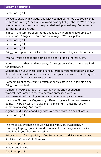**Greet for Families Camp Squirt 5 pm** Details on pg. 11

Do you struggle with jealousy and wish you had better tools to cope with it better? Inspired by "The Jealousy Workbook" by Kathy Labriola. We can help you better understand your unique relationship to jealousy. Come alone, partnered, or as a group!

Join us in the comfort of our dome and take a minute to enjoy some soft time stories. All ages welcome and encouraged. We have pillows.

**Details on pg. 11** 

**Details on pg. 11** 

**Details on pg. 11** 

Bring your cup for a specialty coffee & check out our daily events and sets.

**Wear all white diaphanous clothing to be part of this ethereal event.** 

**Rainbow Kitties 8 pm** A one hour, cat-themed dance party. Cat songs only. Cat costume required for attendance.

Something on your chest (story of a failure/embarrassment/guilt)? Just own it and share it in all 'confidentiality' with everyone who can hear it! Everyone fails at something, even success stories!

**Gather in front of the effigy to watch or participate in a fire spinning jam.** Bring your own fuel!

Sometimes you've got too many wompwomps and not enough twangplucks! Come see the two become enmeshed with live instrumentation intermingling with your wompwompy edm dreams.

I can have Non-sexual Orgasms by different triggers, including pressure points. The public will try to give me the maximum Joygasms for the duration of a song. And more!

A giant squid, a jaguar and a goddess out for a swim in a sea of lasers! Details on pg. 11

The mass Jesus wishes he could have led with Mary Magdalene. A ceremony to purge your sins and reconnect the pathway to spirituality contained in your hedonistic desires.

Bring your cup for a specialty coffee & check out our daily events and sets. **The Morning Ride Lampchanted Forest 10 am** Soul. Funk. Coffee. Chill. All morning.

**Details on pg. 13** 

**Yoga Asana Practice.** 

**Colourful Communion The Big Top Communion Constitution The Big Top Communion 19**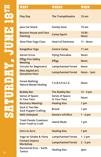| <b>WHAT</b>                                           | <b>WHERE</b>                    | <b>WHEN</b>              |
|-------------------------------------------------------|---------------------------------|--------------------------|
| <b>Play Day</b>                                       | The Trampitheatre               | 10 am                    |
| Java Cat Shack                                        | <b>Family Zone</b>              | 10 am                    |
| <b>Bounce House and Face</b><br><b>Painting</b>       | <b>Camp Squirt</b>              | $10:30 -$<br><b>Noon</b> |
| <b>Slow Flow Yoga Class</b>                           | <b>Heart of Darkness</b>        | <b>11 - Noon</b>         |
| <b>KangaRue Yoga</b>                                  | <b>Centre Camp</b>              | 11 am                    |
| <b>Aerial Circus</b>                                  | <b>Flying Pancakes</b>          | Noon                     |
| <b>Effigy Fire Safety</b><br><b>Meeting</b>           | <b>Effigy</b>                   | <b>Noon</b>              |
| <b>Circuits for Beginners!</b>                        | <b>Lampchanted Forest</b>       | Noon                     |
| <b>Miss AppleCat's</b><br><b>Storytime Hour</b>       | <b>Lampchanted Forest</b>       | Noon - 1pm               |
| <b>Forest Bathing:</b><br><b>Nature-Based Healing</b> | T.U.B.S.P.A.C.E.                | Noon                     |
| <b>Bubbly Bar</b>                                     | <b>The Bubbly Bar</b>           | $12 - 4 pm$              |
| Sense of Space:<br>In Your Face                       | Sense of Space:<br>In Your Face | Noon                     |
| <b>Recovery Meeting!</b>                              | <b>Healing Kiss</b>             | 1 pm                     |
| Sock it Two Me:<br><b>Sock Puppet Crafting</b>        | <b>Brood</b>                    | 1 pm                     |
| <b>NKD Volleyball</b>                                 | <b>Dante's InFURno</b>          | $1 - 4$ pm               |
| <b>Trash Panda Creations:</b><br>from Trash to Craft  | <b>Island Wubs</b>              | 1 pm                     |
| <b>Intro to Acro</b>                                  | <b>Healing Kiss</b>             | 1 pm                     |
| Yoga w/ Ghabe & Ylana                                 | <b>Lampchanted Forest</b>       | $1 - 2$ pm               |
| <b>Contact Improv</b><br>Workshop                     | <b>Lampchanted Forest</b>       | $2 - 3$ pm               |
| Elemental Eros ~ Earth<br>Tantra                      | <b>Healing Kiss</b>             | 2pm                      |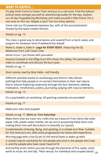It's play time! Come to Clown Town and put on a red nose. Find the balloon animal clown and get yourself an adventuring buddy for the day. Explore our all day Puppeteering Workshop and make yourself a little friend. Put a red nose on him too. Maybe a tutu? Too too many options.

Come visit our EV-powered espresso bar, with all the accoutrements! Hosted by the space cowboi bitches.

```
Noon Details on pg. 13
```
**Slow Flow Yoga Class Heart of Darkness 11 - Noon** This class is great way to decompress and unwind from a hectic week, and prepare for whatever kind of weekend lies ahead!

**Wake it, shake it, bake it~ <b>yoga for EVERY BODY**. Featuring live DJ: Matterson from Left Coast Crew

Aerial circus + poi shows with pancakes!

**Meeting Effigy Noon** Anyone involved in the Effigy burn (fire show, fire safety, fire perimeter) will meet to coordinate and discuss the burn plan.

**Circuits for Beginners! Lampchanted Forest Noon** Details on pg. 11

**Short stories read by Miss Fable - kid friendly.** 

Different activities based on ecotherapy and Shinrin Yoku (forest bathing) that help people to re-connect themselves to their real nature, that is nature! Exploring reciprocity through the four elements, walking meditation, mindfulness, poetry, journaling, playing with natural elements.

**Details on pg. 13** 

It's a psychedelic art workshop. All painting materials are provided!

**Details on pg. 17** 

**Make your own sock puppet!** 

#### **Details on pg. 17. Skins vs. Furs Saturday!**

Make items that are trash into crafts that we treasure! From items like toilet paper rolls, plastic water bottles, etc we are re-purposing these items and making them into wall decorations to beautify our spaces.

**Intro to Acro Healing Kiss 1 pm** Fundamentals of basing, flying, and spotting, in a simple acro flow. Suitable for first time acro-ers, with some progressions for those with experience.

**Morning yoga with a live DJ set of chill world beats to wake up with!** 

**Workshop Lampchanted Forest 2 - 3 pm** A contact improv workshop for the people who love it, the people who hate it, and the people who have never heard of it!

And earthly erotic tantric journey through the elements of fire, water, wind,<br>earth as muse, kin and ally. \*Non-sexual, for individual and coupled adults. <sub>21</sub>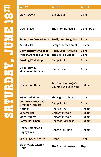| <b>WHAT</b>                                             | <b>WHERE</b>                                                | WHEN        |
|---------------------------------------------------------|-------------------------------------------------------------|-------------|
| <b>Clown Down</b>                                       | <b>Bubbly Bar</b>                                           | 2 pm        |
| <b>Open Stage</b>                                       | The Trampitheatre                                           | 2 pm - Dusk |
| <b>Snow Cone Dance Party!</b>                           | <b>Really Lost Penguins</b>                                 | 2 pm        |
| <b>Aerial Silks</b>                                     | <b>Lampchanted Forest</b>                                   | $3 - 5$ pm  |
| Daily Instrumental Jam                                  | <b>Really Lost Penguins</b>                                 | 3 pm        |
| <b>Atheist/Agnostic Service</b>                         | The Big Top Chapel                                          | 3 pm        |
| <b>Beading Workshop</b>                                 | <b>Camp Squirt</b>                                          | 3 pm        |
| Color Journey -<br><b>Movement Workshop</b>             | <b>Healing Kiss</b>                                         | 3 pm        |
| <b>Queerstion Hour</b>                                  | <b>StarGayz Dome @ Of</b><br><b>Course I Still Love You</b> | 3:30 pm     |
| Friends of Bill W                                       | The Big Top Chapel                                          | 4 pm        |
| <b>Cool Treat Meet and</b><br><b>Greet for Families</b> | <b>Camp Squirt</b>                                          | 5 pm        |
| Nourish                                                 | <b>Healing Kiss</b>                                         | $6 - 9$ pm  |
| <b>Shooter Bar</b>                                      | <b>Unicorn Inferno</b>                                      | $6 - 8$ pm  |
| More S'Mores                                            | Unicorn Inferno                                             | $6 - 8$ pm  |
| <b>Coffee Bar Open</b>                                  | <b>Heart of Darkness</b>                                    | $6 - 8$ pm  |
| <b>Heavy Petting Zoo</b><br><b>Happy Hour!</b>          | <b>Dante's InFURno</b>                                      | 8 - 9 pm    |
| <b>Sock Puppet Theatre</b>                              | <b>Brood</b>                                                | 9 pm        |
| <b>Black Magic Witchin</b><br>Hour                      | The Trampitheatre                                           | 10 pm       |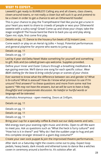Leeeettt's get ready to BUMBLE!!!! Calling any and all clowns, class clowns, clown-around-towns, or not-really a clown but will suck it up and pretend to be a clown in order to get a chance to win an Otherworld hoodie!

This is your chance to play the Trampitheatre! Feel like you've got a tune in your heart you want to share to crowds of people or woo your Otherworld sweetie with a sultry song? Great! Come up and show your chops; take the stage songbird! The house band be there to back you up and play along. Open mic style, first come first play.

**Details on pg. 17. Dance to the house-y fun beats of DJ Instant Love.** 

Come watch or play on an Aerial rig (silks + hoop). Potential performances and general playtime for anyone who wants to jump up.

**Details on pg. 11** 

**Details on pg. 17** 

Led by 4 year old Delta Newt! Make something for yourself and something to gift. Kids and (so-called) grown-ups welcome. Supplies provided.

Define yourr Inner and Outer Colours through a breathing meditation & eye gazing exercise. We'll dance one song for each specific colour. *Wear B&W clothing for the base & bring colorful props or scarves of your choice.*

Ever wanted to know what the difference between sex and gender is? What is bi-culture? What is asexual? How do I know what pronoun to use if I'm unsure? Find answers\* to these questions and more from some real live queers! *\*We may not have the answers, but we will be sure to have a lively, thoughtful and compassionate discussion. No hateful or hurtful words or language will be tolerated.*

**Friends of Bill W The Big Top Chapel 4 pm** Alcoholics Anonymous - open meeting. Doors at 3:45pm.

| Details on pg. 11                                                                                                                                                                                                                                                                                    |
|------------------------------------------------------------------------------------------------------------------------------------------------------------------------------------------------------------------------------------------------------------------------------------------------------|
| Details on pg. 11                                                                                                                                                                                                                                                                                    |
| Details on pg. 11                                                                                                                                                                                                                                                                                    |
| Details on pg. 11                                                                                                                                                                                                                                                                                    |
| Bring your cup for a specialty coffee & check out our daily events and sets.                                                                                                                                                                                                                         |
| Mid energy start-your-evening-right music and drinks. Open to all! We want<br>to meet you. Ask us questions such as "What the heck is furry culture?" and<br>"How hot is it in there?" and "Why do I feel the sudden urge to hug and pet<br>this complete stranger dressed in a giant dog costume??" |
| Create your own sock puppet & join the improvised theatre performances.                                                                                                                                                                                                                              |
|                                                                                                                                                                                                                                                                                                      |

After dark on a Saturday night the covens come out to play. Expect loop pedals, heavy beats, dark moods and ethereal tunes to dance like a witches coven in ceremony around a bonfire to. It's solstice after all.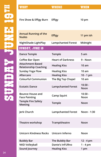| WHAT                                             | <b>WHERE</b>              | <b>WHEN</b>       |
|--------------------------------------------------|---------------------------|-------------------|
| Fire Show & Effigy Burn                          | <b>Effigy</b>             | 10 pm             |
|                                                  |                           |                   |
| <b>Annual Running of the</b><br><b>Nudes</b>     | <b>Effigy</b>             | 11 pm ish         |
| NightShade LightPlay                             | <b>Lampchanted Forest</b> | Midnight          |
| <b>SUNDAY, JUNE 19</b>                           |                           |                   |
| <b>Dance Temple</b>                              | Temple                    | 5 am              |
| Coffee Bar Open                                  | <b>Heart of Darkness</b>  | 9 - Noon          |
| Attachment-Based<br><b>Relationship Coaching</b> | <b>Healing Kiss</b>       | 10 am             |
| <b>Sunday Yoga Flow</b>                          | <b>Healing Kiss</b>       | 10 am             |
| Aftercare                                        | <b>Healing Kiss</b>       | $10 - 1$ pm       |
| <b>Colourful Communion</b>                       | The Big Top Chapel        | 10 am             |
| <b>Ecstatic Dance</b>                            | <b>Lampchanted Forest</b> | $10:30 -$<br>Noon |
| <b>Bounce House and</b><br><b>Face Painting</b>  | <b>Camp Squirt</b>        | $10:30 -$<br>Noon |
| <b>Temple Fire Safety</b><br><b>Meeting</b>      | Temple                    | Noon              |
| Jerk Church                                      | <b>Lampchanted Forest</b> | Noon - 1:30       |
| Theatre workshop                                 | Trampitheatre             | Noon              |
| <b>Unicorn Kindness Rocks</b>                    | Unicorn Inferno           | Noon              |
| <b>Bubbly Bar</b>                                | The Bubbly Bar            | 12 - 4 pm         |
| <b>NKD Volleyball</b>                            | <b>Dante's InFURno</b>    | $1 - 4$ pm        |
| Sound Journey                                    | <b>Healing Kiss</b>       | 1 pm              |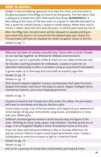Delight in the scintillating spectacle of an epic fire show, and then bask in the glorious glow of the effigy as it burns to the ground. The Fern Burn Club is pleased to present the 2022 Otherworld Fire Show: **BURNERWULF**. A fiery telling of the story of the lone wolf, on a quest to rekindle that which is lost, a quest for chosen family, a quest to create beauty. When their tool of choice is stolen, does the hero save the pack, or will the pack save the hero? After the Effigy falls, the perimeter will be released for people wishing to bare what they dare to run around the fire (please keep your shoes on). The perimeter will then be released for others to gather closer to the fire. Details on pg. 11

Welcome the dawn of another beautiful day. Dance with us at the Temple on our last day together at Otherworld. Release and transcend.

Bring your cup for a specialty coffee & check out our daily events and sets. 30 minutes coaching sessions for individuals, couples or pairs for an<br>identified relationship conflict or problem using an attachment framework.

**Sunday Yoga Flow Healing Kiss 10 am** A gentle wake up to the body and mind with an easeful yoga flow.

**Details on pg. 13** 

**Details on pg. 13** 

Efré|Vescent weaves together luscious soundscapes that open the heart, deepen the breath, and return the body to centre. Expect intelligent lyrics, intentional rhythms, and a soul-clapping good time.

Details on pg. 13

Anyone involved in the Temple burn (fire show, fire safety, fire perimeter) will meet to coordinate and discuss the burn plan.

Come share a song, a bit of the sacrament, and repent of your weekend of sinful doings. Bring your instruments, song books, and libations to share with your fellow jerks.

Different activities/games aimed to build step-by-step the figure of the actor. Working on voice, body, space, improvisation. Develop presence on stage. A lot of laughter!! Maybe a small show/performance at the end.

If you are alive and kicking and feeling crafty on Sunday afternoon ish pop by Unicorn Inferno to paint some inspiring kindness rocks. Create a masterpiece to mark the occasion or gift to a new/old friend!

**Details on pg. 13** 

Details on pg. 17

Join us for a journey of sound with crystal bowls, jaw harps & more.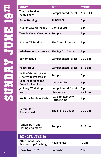| <b>WHAT</b>                                             | WHERE                                            | <b>WHEN</b>   |
|---------------------------------------------------------|--------------------------------------------------|---------------|
| The Hot Toddies<br><b>Radio Show</b>                    | <b>Lampchanted Forest</b>                        | $1:30 - 3:30$ |
| <b>Booty Basking</b>                                    | <b>TUBSPACE</b>                                  | 2 pm          |
| <b>Plaster Cast Workshop</b>                            | <b>Camp Squirt</b>                               | 3 pm          |
| Temple Cacao Ceremony Temple                            |                                                  | 3 pm          |
| <b>Sunday Til Sundown</b>                               | The Trampitheatre                                | 3 pm          |
| <b>Atheist/Agnostic Service</b>                         | The Big Top Chapel                               | 3 pm          |
| Burlampsque                                             | <b>Lampchanted Forest</b>                        | 3:30 pm       |
| <b>Poetry Hour</b>                                      | <b>Lampchanted Forest</b>                        | $5 - 6$ pm    |
| <b>Walk of the Nereids II</b><br>(The White Procession) | Temple                                           | 5 pm          |
| <b>Cool Treat Meet and</b><br><b>Greet for Families</b> | <b>Camp Squirt</b>                               | 5 pm          |
| Jealousy Workshop                                       | <b>Lampchanted Forest</b>                        | 5 pm          |
| Nourish                                                 | <b>Healing Kiss</b>                              | $6 - 9$ pm    |
| <b>Itty Bitty Rainbow Kitties</b>                       | <b>Itty Bitty Rainbow</b><br><b>Kitties Camp</b> | 6 pm          |
| <b>Default Rite</b><br>Processional                     | The Big Top Chapel                               | 7:30 pm       |
| Temple Burn and<br><b>Closing Ceremony</b>              | Temple                                           | 9:19 pm       |
| MONDAY, JUNE 20                                         |                                                  |               |
| <b>Attachment-Based</b><br><b>Relationship Coaching</b> | <b>Healing Kiss</b>                              | 10 am         |
| Leave No Trace!                                         | Everywhere                                       | 2 pm          |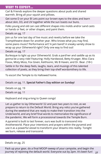Carl & Friends explore the deeper questions about puds and shared warmth. Bring all your squish and pillows.

Get some D on your B! Lets point our brown eyes to the skies and learn about skin, D3, and UV together while the sun toasts our buns.

Folks young and old can cast different shapes into molds and/or sand casts or hands or feet, or other shapes, and paint them.

**Details on pg. 17** 

Join us for one last day of live music and revelry before we take the Trampitheatre down for another year. Who knows what you may find, some piano music? Performance art? A jam band? A sneaky variety show to wrap up your Otherworld right? Only one way to find out!

**Details on pg. 17** 

Burlesque to light up your Otherworld. Grab a pard'ner and saddle up as its gonna be a sexy ride! Featuring: Holly Hardwood, Betty Krueger, Miss Clara Foxxx, Misty Moss, Fox Given, Keithsonic, Mz B Haven, and Dr. Bear. (18+)

**Settle in for the deep feels, laughs, tears, and musings of this talented** collection of poets, as they bring their top-shelf wordsmithery to life.

To escort the Temple to its Hallowed home.

**Greet for Families Camp Squirt 5 pm** Details on pg. 11. **Special Father's Day edition on Sunday!**

**Details on pg. 19 Details on pg. 11** 

Keyboard and sing-a-long to Queen songs!

Let us gather to lay Otherworld '22 and past two years to rest, as we prepare to return to the Default World. Bring any relics you've gathered during the weekend that are ready to make their transition into the Underworld, and any brief final words to memorialize the significance of the pandemic. We will form a processional towards the Temple Burn.

A pyramid is built to last forever, ours was built to transcend into Anotherworld. Place your intentions and prayers within the pyramid and use it as a powerful vessel to transform your dreams into reality. Tonight we burn, release and transcend.

#### **Details on pg. 25**

Pack up your gear, do a final MOOP-sweep of your campsite, and begin the journey of rejoining the default world. Everyone out by 2pm. It's been fun! **<sup>27</sup>**